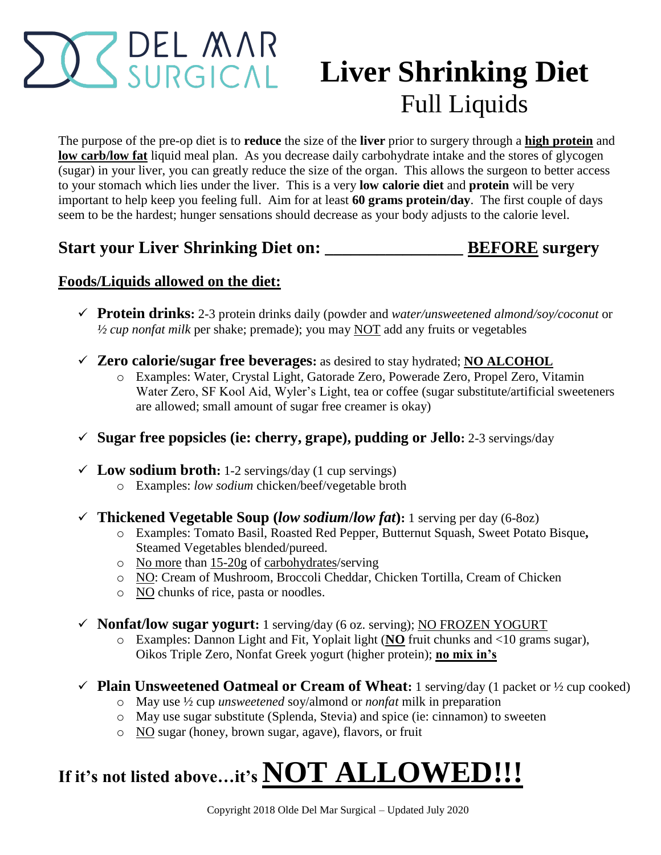# DEL MAR

# **Liver Shrinking Diet** Full Liquids

The purpose of the pre-op diet is to **reduce** the size of the **liver** prior to surgery through a **high protein** and **low carb/low fat** liquid meal plan. As you decrease daily carbohydrate intake and the stores of glycogen (sugar) in your liver, you can greatly reduce the size of the organ. This allows the surgeon to better access to your stomach which lies under the liver. This is a very **low calorie diet** and **protein** will be very important to help keep you feeling full. Aim for at least **60 grams protein/day**. The first couple of days seem to be the hardest; hunger sensations should decrease as your body adjusts to the calorie level.

#### **Start your Liver Shrinking Diet on: \_\_\_\_\_\_\_\_\_\_\_\_\_\_\_\_ BEFORE surgery**

#### **Foods/Liquids allowed on the diet:**

- **Protein drinks:** 2-3 protein drinks daily (powder and *water/unsweetened almond/soy/coconut* or *½ cup nonfat milk* per shake; premade); you may NOT add any fruits or vegetables
- **Zero calorie/sugar free beverages:** as desired to stay hydrated; **NO ALCOHOL**
	- o Examples: Water, Crystal Light, Gatorade Zero, Powerade Zero, Propel Zero, Vitamin Water Zero, SF Kool Aid, Wyler's Light, tea or coffee (sugar substitute/artificial sweeteners are allowed; small amount of sugar free creamer is okay)
- **Sugar free popsicles (ie: cherry, grape), pudding or Jello:** 2-3 servings/day
- $\checkmark$  **Low sodium broth:** 1-2 servings/day (1 cup servings) o Examples: *low sodium* chicken/beef/vegetable broth
- **Thickened Vegetable Soup (***low sodium***/***low fat***):** 1 serving per day (6-8oz)
	- o Examples: Tomato Basil, Roasted Red Pepper, Butternut Squash, Sweet Potato Bisque**,**  Steamed Vegetables blended/pureed.
	- o No more than 15-20g of carbohydrates/serving
	- o NO: Cream of Mushroom, Broccoli Cheddar, Chicken Tortilla, Cream of Chicken
	- o NO chunks of rice, pasta or noodles.
- **Nonfat/low sugar yogurt:** 1 serving/day (6 oz. serving); NO FROZEN YOGURT
	- o Examples: Dannon Light and Fit, Yoplait light (**NO** fruit chunks and <10 grams sugar), Oikos Triple Zero, Nonfat Greek yogurt (higher protein); **no mix in's**
- **Plain Unsweetened Oatmeal or Cream of Wheat:** 1 serving/day (1 packet or  $\frac{1}{2}$  cup cooked)
	- o May use ½ cup *unsweetened* soy/almond or *nonfat* milk in preparation
	- o May use sugar substitute (Splenda, Stevia) and spice (ie: cinnamon) to sweeten
	- o NO sugar (honey, brown sugar, agave), flavors, or fruit

## **If it's not listed above…it's NOT ALLOWED!!!**